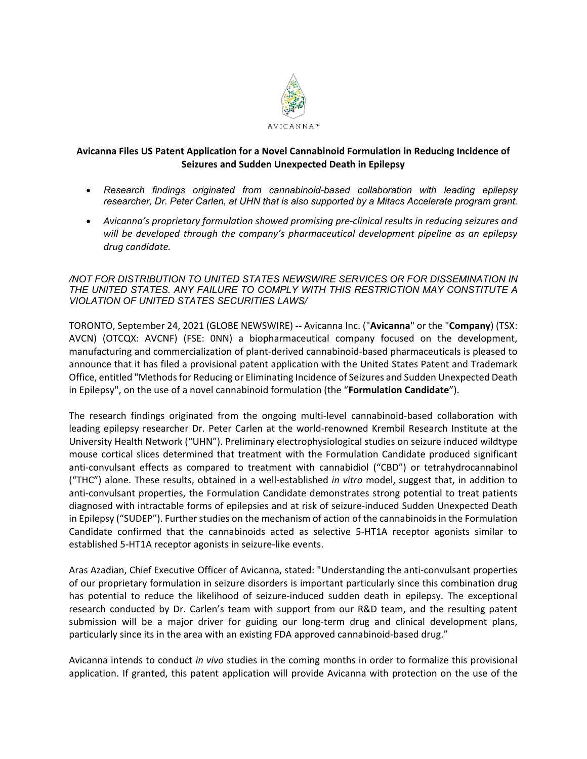

# **Avicanna Files US Patent Application for a Novel Cannabinoid Formulation in Reducing Incidence of Seizures and Sudden Unexpected Death in Epilepsy**

- *Research findings originated from cannabinoid-based collaboration with leading epilepsy researcher, Dr. Peter Carlen, at UHN that is also supported by a Mitacs Accelerate program grant.*
- *Avicanna's proprietary formulation showed promising pre-clinical results in reducing seizures and will be developed through the company's pharmaceutical development pipeline as an epilepsy drug candidate.*

## */NOT FOR DISTRIBUTION TO UNITED STATES NEWSWIRE SERVICES OR FOR DISSEMINATION IN THE UNITED STATES. ANY FAILURE TO COMPLY WITH THIS RESTRICTION MAY CONSTITUTE A VIOLATION OF UNITED STATES SECURITIES LAWS/*

TORONTO, September 24, 2021 (GLOBE NEWSWIRE) **--** Avicanna Inc. ("**Avicanna**" or the "**Company**) (TSX: AVCN) (OTCQX: AVCNF) (FSE: 0NN) a biopharmaceutical company focused on the development, manufacturing and commercialization of plant-derived cannabinoid-based pharmaceuticals is pleased to announce that it has filed a provisional patent application with the United States Patent and Trademark Office, entitled "Methods for Reducing or Eliminating Incidence of Seizures and Sudden Unexpected Death in Epilepsy", on the use of a novel cannabinoid formulation (the "**Formulation Candidate**").

The research findings originated from the ongoing multi-level cannabinoid-based collaboration with leading epilepsy researcher Dr. Peter Carlen at the world-renowned Krembil Research Institute at the University Health Network ("UHN"). Preliminary electrophysiological studies on seizure induced wildtype mouse cortical slices determined that treatment with the Formulation Candidate produced significant anti-convulsant effects as compared to treatment with cannabidiol ("CBD") or tetrahydrocannabinol ("THC") alone. These results, obtained in a well-established *in vitro* model, suggest that, in addition to anti-convulsant properties, the Formulation Candidate demonstrates strong potential to treat patients diagnosed with intractable forms of epilepsies and at risk of seizure-induced Sudden Unexpected Death in Epilepsy ("SUDEP"). Further studies on the mechanism of action of the cannabinoids in the Formulation Candidate confirmed that the cannabinoids acted as selective 5-HT1A receptor agonists similar to established 5-HT1A receptor agonists in seizure-like events.

Aras Azadian, Chief Executive Officer of Avicanna, stated: "Understanding the anti-convulsant properties of our proprietary formulation in seizure disorders is important particularly since this combination drug has potential to reduce the likelihood of seizure-induced sudden death in epilepsy. The exceptional research conducted by Dr. Carlen's team with support from our R&D team, and the resulting patent submission will be a major driver for guiding our long-term drug and clinical development plans, particularly since its in the area with an existing FDA approved cannabinoid-based drug."

Avicanna intends to conduct *in vivo* studies in the coming months in order to formalize this provisional application. If granted, this patent application will provide Avicanna with protection on the use of the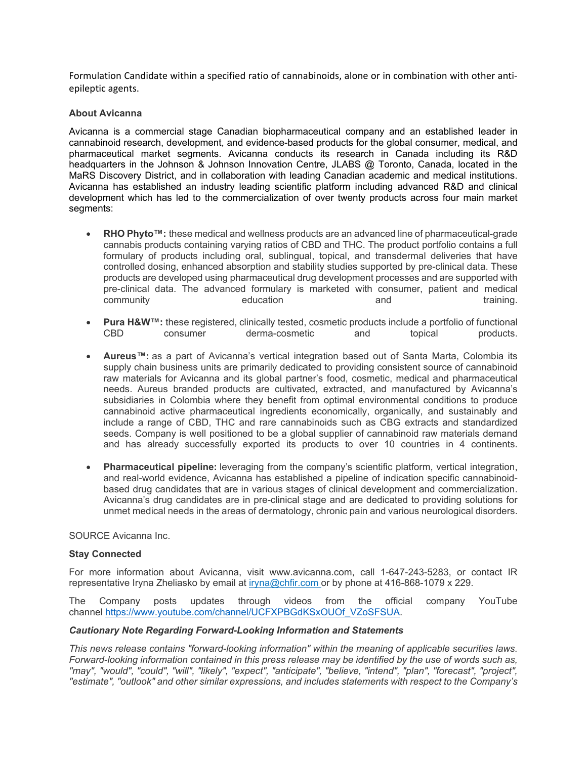Formulation Candidate within a specified ratio of cannabinoids, alone or in combination with other antiepileptic agents.

### **About Avicanna**

Avicanna is a commercial stage Canadian biopharmaceutical company and an established leader in cannabinoid research, development, and evidence-based products for the global consumer, medical, and pharmaceutical market segments. Avicanna conducts its research in Canada including its R&D headquarters in the Johnson & Johnson Innovation Centre, JLABS @ Toronto, Canada, located in the MaRS Discovery District, and in collaboration with leading Canadian academic and medical institutions. Avicanna has established an industry leading scientific platform including advanced R&D and clinical development which has led to the commercialization of over twenty products across four main market segments:

- **RHO Phyto™:** these medical and wellness products are an advanced line of pharmaceutical-grade cannabis products containing varying ratios of CBD and THC. The product portfolio contains a full formulary of products including oral, sublingual, topical, and transdermal deliveries that have controlled dosing, enhanced absorption and stability studies supported by pre-clinical data. These products are developed using pharmaceutical drug development processes and are supported with pre-clinical data. The advanced formulary is marketed with consumer, patient and medical community education and training.
- **Pura H&W™:** these registered, clinically tested, cosmetic products include a portfolio of functional CBD consumer derma-cosmetic and topical products.
- **Aureus™:** as a part of Avicanna's vertical integration based out of Santa Marta, Colombia its supply chain business units are primarily dedicated to providing consistent source of cannabinoid raw materials for Avicanna and its global partner's food, cosmetic, medical and pharmaceutical needs. Aureus branded products are cultivated, extracted, and manufactured by Avicanna's subsidiaries in Colombia where they benefit from optimal environmental conditions to produce cannabinoid active pharmaceutical ingredients economically, organically, and sustainably and include a range of CBD, THC and rare cannabinoids such as CBG extracts and standardized seeds. Company is well positioned to be a global supplier of cannabinoid raw materials demand and has already successfully exported its products to over 10 countries in 4 continents.
- **Pharmaceutical pipeline:** leveraging from the company's scientific platform, vertical integration, and real-world evidence, Avicanna has established a pipeline of indication specific cannabinoidbased drug candidates that are in various stages of clinical development and commercialization. Avicanna's drug candidates are in pre-clinical stage and are dedicated to providing solutions for unmet medical needs in the areas of dermatology, chronic pain and various neurological disorders.

#### SOURCE Avicanna Inc.

#### **Stay Connected**

For more information about Avicanna, visit www.avicanna.com, call 1-647-243-5283, or contact IR representative Iryna Zheliasko by email at [iryna@chfir.com](https://www.globenewswire.com/Tracker?data=sH7TDGaUxzLFbzm9BFrJLRMQ6ioyUCrUEWXVU_QMZN6C4SwgE8_Xf2RrlHVl-sJPMGonF9vtL34VZvVo68KeSg==) or by phone at 416-868-1079 x 229.

The Company posts updates through videos from the official company YouTube channel [https://www.youtube.com/channel/UCFXPBGdKSxOUOf\\_VZoSFSUA.](https://www.youtube.com/channel/UCFXPBGdKSxOUOf_VZoSFSUA)

#### *Cautionary Note Regarding Forward-Looking Information and Statements*

*This news release contains "forward-looking information" within the meaning of applicable securities laws. Forward-looking information contained in this press release may be identified by the use of words such as, "may", "would", "could", "will", "likely", "expect", "anticipate", "believe, "intend", "plan", "forecast", "project", "estimate", "outlook" and other similar expressions, and includes statements with respect to the Company's*